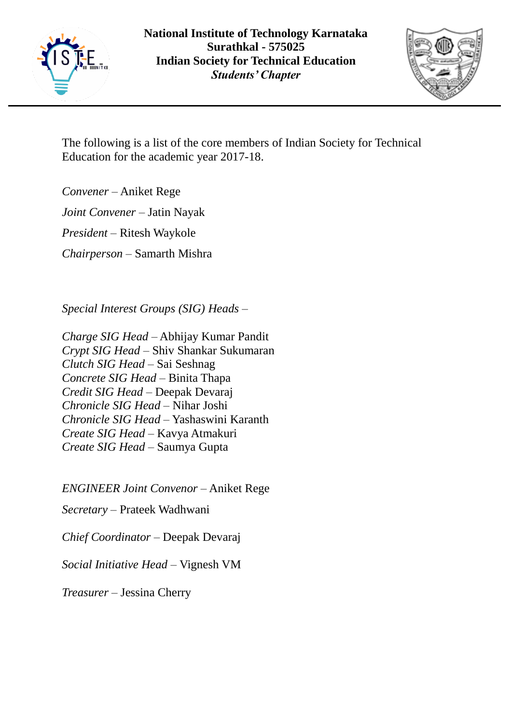



The following is a list of the core members of Indian Society for Technical Education for the academic year 2017-18.

*Convener* – Aniket Rege

*Joint Convener* – Jatin Nayak

*President* – Ritesh Waykole

*Chairperson* – Samarth Mishra

*Special Interest Groups (SIG) Heads* –

*Charge SIG Head* – Abhijay Kumar Pandit *Crypt SIG Head* – Shiv Shankar Sukumaran *Clutch SIG Head* – Sai Seshnag *Concrete SIG Head* – Binita Thapa *Credit SIG Head* – Deepak Devaraj *Chronicle SIG Head* – Nihar Joshi *Chronicle SIG Head* – Yashaswini Karanth *Create SIG Head* – Kavya Atmakuri *Create SIG Head* – Saumya Gupta

*ENGINEER Joint Convenor* – Aniket Rege

*Secretary* – Prateek Wadhwani

*Chief Coordinator* – Deepak Devaraj

*Social Initiative Head* – Vignesh VM

*Treasurer* – Jessina Cherry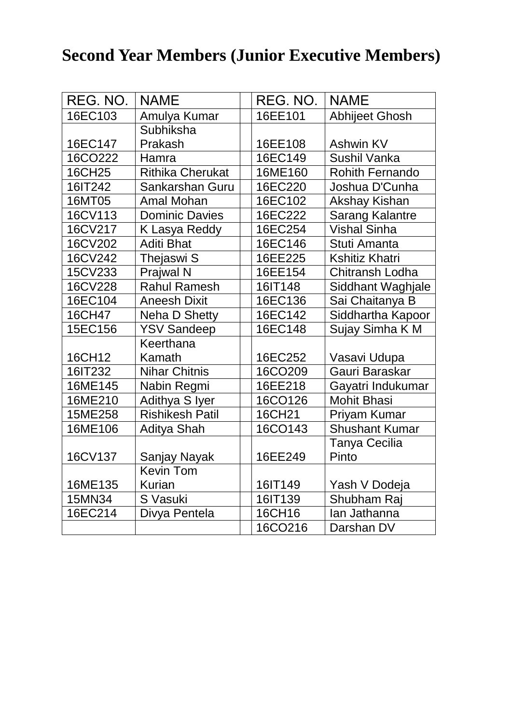## **Second Year Members (Junior Executive Members)**

| REG. NO. | <b>NAME</b>             | REG. NO. | <b>NAME</b>            |
|----------|-------------------------|----------|------------------------|
| 16EC103  | Amulya Kumar            | 16EE101  | <b>Abhijeet Ghosh</b>  |
|          | Subhiksha               |          |                        |
| 16EC147  | Prakash                 | 16EE108  | <b>Ashwin KV</b>       |
| 16CO222  | Hamra                   | 16EC149  | <b>Sushil Vanka</b>    |
| 16CH25   | <b>Rithika Cherukat</b> | 16ME160  | <b>Rohith Fernando</b> |
| 16IT242  | Sankarshan Guru         | 16EC220  | Joshua D'Cunha         |
| 16MT05   | Amal Mohan              | 16EC102  | Akshay Kishan          |
| 16CV113  | <b>Dominic Davies</b>   | 16EC222  | <b>Sarang Kalantre</b> |
| 16CV217  | K Lasya Reddy           | 16EC254  | <b>Vishal Sinha</b>    |
| 16CV202  | <b>Aditi Bhat</b>       | 16EC146  | Stuti Amanta           |
| 16CV242  | Thejaswi S              | 16EE225  | <b>Kshitiz Khatri</b>  |
| 15CV233  | <b>Prajwal N</b>        | 16EE154  | <b>Chitransh Lodha</b> |
| 16CV228  | <b>Rahul Ramesh</b>     | 16IT148  | Siddhant Waghjale      |
| 16EC104  | <b>Aneesh Dixit</b>     | 16EC136  | Sai Chaitanya B        |
| 16CH47   | Neha D Shetty           | 16EC142  | Siddhartha Kapoor      |
| 15EC156  | <b>YSV Sandeep</b>      | 16EC148  | Sujay Simha K M        |
|          | Keerthana               |          |                        |
| 16CH12   | Kamath                  | 16EC252  | Vasavi Udupa           |
| 16IT232  | <b>Nihar Chitnis</b>    | 16CO209  | Gauri Baraskar         |
| 16ME145  | Nabin Regmi             | 16EE218  | Gayatri Indukumar      |
| 16ME210  | Adithya S Iyer          | 16CO126  | <b>Mohit Bhasi</b>     |
| 15ME258  | <b>Rishikesh Patil</b>  | 16CH21   | Priyam Kumar           |
| 16ME106  | <b>Aditya Shah</b>      | 16CO143  | <b>Shushant Kumar</b>  |
|          |                         |          | Tanya Cecilia          |
| 16CV137  | Sanjay Nayak            | 16EE249  | Pinto                  |
|          | <b>Kevin Tom</b>        |          |                        |
| 16ME135  | <b>Kurian</b>           | 16IT149  | Yash V Dodeja          |
| 15MN34   | S Vasuki                | 16IT139  | Shubham Raj            |
| 16EC214  | Divya Pentela           | 16CH16   | lan Jathanna           |
|          |                         | 16CO216  | Darshan DV             |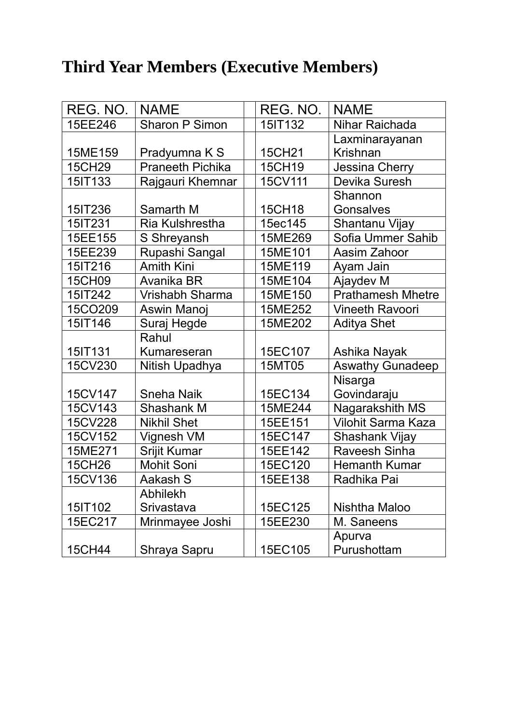## **Third Year Members (Executive Members)**

| REG. NO.      | <b>NAME</b>             | REG. NO. | <b>NAME</b>               |
|---------------|-------------------------|----------|---------------------------|
| 15EE246       | <b>Sharon P Simon</b>   | 15IT132  | Nihar Raichada            |
|               |                         |          | Laxminarayanan            |
| 15ME159       | Pradyumna K S           | 15CH21   | Krishnan                  |
| <b>15CH29</b> | <b>Praneeth Pichika</b> | 15CH19   | <b>Jessina Cherry</b>     |
| 15IT133       | Rajgauri Khemnar        | 15CV111  | Devika Suresh             |
|               |                         |          | Shannon                   |
| 15IT236       | Samarth M               | 15CH18   | <b>Gonsalves</b>          |
| 15IT231       | <b>Ria Kulshrestha</b>  | 15ec145  | Shantanu Vijay            |
| 15EE155       | S Shreyansh             | 15ME269  | Sofia Ummer Sahib         |
| 15EE239       | Rupashi Sangal          | 15ME101  | Aasim Zahoor              |
| 15IT216       | <b>Amith Kini</b>       | 15ME119  | Ayam Jain                 |
| 15CH09        | Avanika BR              | 15ME104  | Ajaydev M                 |
| 15IT242       | <b>Vrishabh Sharma</b>  | 15ME150  | <b>Prathamesh Mhetre</b>  |
| 15CO209       | Aswin Manoj             | 15ME252  | <b>Vineeth Ravoori</b>    |
| 15IT146       | Suraj Hegde             | 15ME202  | <b>Aditya Shet</b>        |
|               | Rahul                   |          |                           |
| 15IT131       | <b>Kumareseran</b>      | 15EC107  | Ashika Nayak              |
| 15CV230       | Nitish Upadhya          | 15MT05   | <b>Aswathy Gunadeep</b>   |
|               |                         |          | Nisarga                   |
| 15CV147       | <b>Sneha Naik</b>       | 15EC134  | Govindaraju               |
| 15CV143       | <b>Shashank M</b>       | 15ME244  | Nagarakshith MS           |
| 15CV228       | <b>Nikhil Shet</b>      | 15EE151  | <b>Vilohit Sarma Kaza</b> |
| 15CV152       | Vignesh VM              | 15EC147  | Shashank Vijay            |
| 15ME271       | Srijit Kumar            | 15EE142  | <b>Raveesh Sinha</b>      |
| <b>15CH26</b> | <b>Mohit Soni</b>       | 15EC120  | <b>Hemanth Kumar</b>      |
| 15CV136       | Aakash S                | 15EE138  | Radhika Pai               |
|               | <b>Abhilekh</b>         |          |                           |
| 15IT102       | Srivastava              | 15EC125  | Nishtha Maloo             |
| 15EC217       | Mrinmayee Joshi         | 15EE230  | M. Saneens                |
|               |                         |          | Apurva                    |
| 15CH44        | Shraya Sapru            | 15EC105  | Purushottam               |